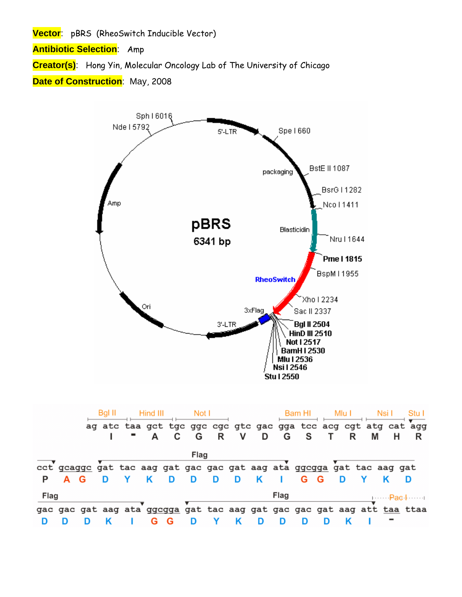**Vector**: pBRS (RheoSwitch Inducible Vector)

**Antibiotic Selection**: Amp

**Creator(s)**: Hong Yin, Molecular Oncology Lab of The University of Chicago

## **Date of Construction**: May, 2008



|      |  |  | Hind III |         | Not I |   |   |    |      | Bam HI                                                                |   |   |   |                                                                         |
|------|--|--|----------|---------|-------|---|---|----|------|-----------------------------------------------------------------------|---|---|---|-------------------------------------------------------------------------|
|      |  |  |          |         |       |   |   |    |      |                                                                       |   |   |   | ag atc taa gct tgc ggc cgc gtc gac gga tcc acg cgt atg cat agg          |
|      |  |  |          | " A C G |       | R | V | D  | G    | <b>S</b>                                                              |   | R | M |                                                                         |
|      |  |  |          |         | Flag  |   |   |    |      |                                                                       |   |   |   |                                                                         |
|      |  |  |          |         |       |   |   |    |      | cct gcaggc gat tac aag gat gac gac gat aag ata ggcgga gat tac aag gat |   |   |   |                                                                         |
|      |  |  | κ        | D       | D     | D | D | -K |      | G                                                                     | G | D |   |                                                                         |
| Flag |  |  |          |         |       |   |   |    | Flag |                                                                       |   |   |   | $1P$ ac.                                                                |
|      |  |  |          |         |       |   |   |    |      |                                                                       |   |   |   | gac gac gat aag ata ggcgga gat tac aag gat gac gac gat aag att taa ttaa |
|      |  |  |          |         |       |   |   |    |      |                                                                       |   |   |   |                                                                         |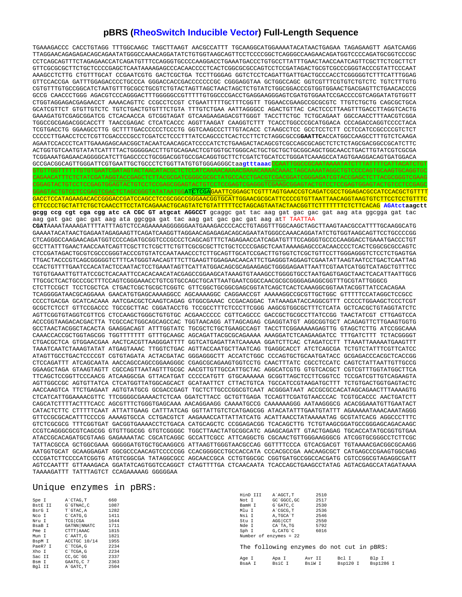## **pBRS (RheoSwitch Inducible Vector) Full-Length Sequence**

TGAAAGACCC CACCTGTAGG TTTGGCAAGC TAGCTTAAGT AACGCCATTT TGCAAGGCATGGAAAATACATAACTGAGAA TAGAGAAGTT AGATCAAGG TTAGGAACAGAGAGACAGCAGAATATGGGCCAAACAGGATATCTGTGGTAAGCAGTTCCTCCCCGGCTCAGGGCCAAGAACAGATGGTCCCCAGATGCGGTCCCGC CCTCAGCAGTTTCTAGAGAACCATCAGATGTTTCCAGGGTGCCCCAAGGACCTGAAATGACCCTGTGCCTTATTTGAACTAACCAATCAGTTCGCTTCTCGCTTCT GTTCGCGCGCTTCTGCTCCCCGAGCTCAATAAAAGAGCCCACAACCCCTCACTCGGCGCGCCAGTCCTCCGATAGACTGCGTCGCCCGGGTACCCGTATTCCCAAT AAAGCCTCTTG CTGTTTGCAT CCGAATCGTG GACTCGCTGA TCCTTGGGAG GGTCTCCTCAGATTGATTGACTGCCCACCTCGGGGGTCTTTCATTTGGAG GTTCCACCGA GATTTGGAGACCCCTGCCCA GGGACCACCGACCCCCCCGC CGGGAGGTAA GCTGGCCAGC GGTCGTTTCGTGTCTGTCTC TGTCTTTGTG CGTGTTTGTGCCGGCATCTAATGTTTGCGCCTGCGTCTGTACTAGTTAGCTAACTAGCTCTGTATCTGGCGGACCCGTGGTGGAACTGACGAGTTCTGAACACCCG GCCG CAACCCTGGG AGACGTCCCAGGGACTTTGGGGGCCGTTTTTGTGGCCCGACCTGAGGAAGGGAGTCGATGTGGAATCCGACCCCGTCAGGATATGTGGTT CTGGTAGGAGACGAGAACCT AAAACAGTTC CCGCCTCCGT CTGAATTTTTGCTTTCGGTT TGGAACCGAAGCCGCGCGTC TTGTCTGCTG CAGCGCTGCA GCATCGTTCT GTGTTGTCTC TGTCTGACTGTGTTTCTGTA TTTGTCTGAA AATTAGGGCC AGACTGTTAC CACTCCCTTAAGTTTGACCTTAGGTCACTG GAAAGATGTCGAGCGGATCG CTCACAACCA GTCGGTAGAT GTCAAGAAGAGACGTTGGGT TACCTTCTGC TCTGCAGAAT GGCCAACCTTTAACGTCGGA TGGCCGCGAGACGGCACCTT TAACCGAGAC CTCATCACCC AGGTTAAGAT CAAGGTCTTT TCACCTGGCCCGCATGGACA CCCAGACCAGGTCCCCTACA TCGTGACCTG GGAAGCCTTG GCTTTTGACCCCCCTCCCTG GGTCAAGCCCTTTGTACACC CTAAGCCTCC GCCTCCTCTT CCTCCATCCGCCCCGTCTCT CCCCCTTGAACCTCCTCGTTCGACCCCGCCTCGATCCTCCCTTTATCCAGCCCTCACTCCTTCTCTAGGCGCCG**GAATTC**ACCATGGCCAAGCCTTTGTCTCAAGA AGAATCCACCCTCATTGAAAGAGCAACGGCTACAATCAACAGCATCCCCATCTCTGAAGACTACAGCGTCGCCAGCGCAGCTCTCTCTAGCGACGGCCGCATCTTC ACTGGTGTCAATGTATATCATTTTACTGGGGGACCTTGTGCAGAACTCGTGGTGCTGGGCACTGCTGCTGCTGCGGCAGCTGGCAACCTGACTTGTATCGTCGCGA TCGGAAATGAGAACAGGGGCATCTTGAGCCCCTGCGGACGGTGCCGACAGGTGCTTCTCGATCTGCATCCTGGGATCAAAGCCATAGTGAAGGACAGTGATGGACA GCCGACGGCAGTTGGGATTCGTGAATTGCTGCCCTCTGGTTATGTGTGGGAGGGCtaa**gtttaaac**CCAATTGGCCGCAATAAAATATCTTTATTTTCATTACATCTGT

CAGAACATTTCTCTATCGATAGGTACCGAGCTCTTACGCGATCGGGCGCGCTATGCCACCTGACGTCGACGGATCGGGAGATCGTACCGAGCTCTTACGCGGGTCGAAG CGGAGTACTGTCCTCCGAGTGGAGTACTGTCCTCCGAGCGGAGTACTGTCCTCCGAGTCGAGGGTCGAAGCGGAGTACTGTCCTCCGAGTGGAGTACTGTCCTCCGAGC GGAGTACTGTCCTCCGA<u>GTCGAC</u>TCTAGCGGGTATATAATGGAT<mark>CTCGA<mark>GAATTCGGAGCTCGTTTAGTGAACCGTCAGATCGCCTGGAGACGCCATCCACGCTGTTTT</mark></mark> GACCTCCATAGAAGACACCGGGACCGATCCAGCCTCCGCGGCCGGGAACGGTGCATTGGAACGCGCATTCCCCGTGTTAATTAACAGGTAAGTGTCTTCCTCCTGTTTC CTTCCCCTGCTATTCTGCTCAACCTTCCTATCAGAAACTGCAGTATCTGTATTTTTCCTAGCAGTAATACTAACGGTTCTTTTTTTCTCTTCACAG **AGAtctaagctt gcgg ccg cgt cga cgg atc cA CGC GT atgcat AGGCCT** gcaggc gat tac aag gat gac gac gat aag ata ggcgga gat tac aag gat gac gac gat aag ata ggcgga gat tac aag gat gac gac gat aag atT TAATTAA

GTGTTGGTTTTTTGTGTGAATCGATAGTACTAACATACGCTCTCCATCAAAACAAAACGAAACAAAACAAACTAGCAAAATAGGCTGTCCCCAGTGCAAGTGCAGGTGC

**CGAT**AAAATAAAAGATTTTATTTAGTCTCCAGAAAAAGGGGGGAATGAAAGACCCCACCTGTAGGTTTGGCAAGCTAGCTTAAGTAACGCCATTTTGCAAGGCATG GAAAATACATAACTGAGAATAGAGAAGTTCAGATCAAGGTTAGGAACAGAGAGACAGCAGAATATGGGCCAAACAGGATATCTGTGGTAAGCAGTTCCTGCCCCGG CTCAGGGCCAAGAACAGATGGTCCCCAGATGCGGTCCCGCCCTCAGCAGTTTCTAGAGAACCATCAGATGTTTCCAGGGTGCCCCAAGGACCTGAAATGACCCTGT GCCTTATTTGAACTAACCAATCAGTTCGCTTCTCGCTTCTGTTCGCGCGCTTCTGCTCCCCGAGCTCAATAAAAGAGCCCACAACCCCTCACTCGGCGCGCCAGTC CTCCGATAGACTGCGTCGCCCGGGTACCCGTGTATCCAATAAACCCTCTTGCAGTTGCATCCGACTTGTGGTCTCGCTGTTCCTTGGGAGGGTCTCCTCTGAGTGA TTGACTACCCGTCAGCGGGGGTCTTTCATGGGTAACAGTTTCTTGAAGTTGGAGAACAACATTCTGAGGGTAGGAGTCGAATATTAAGTAATCCTGACTCAATTAG CCACTGTTTTGAATCCACATACTCCAATACTCCTGAAATAGTTCATTATGGACAGCGCAGAAGAGCTGGGGAGAATTAATTCGTAATCATGGTCATAGCTGTTTCC TGTGTGAAATTGTTATCCGCTCACAATTCCACACAACATACGAGCCGGAAGCATAAAGTGTAAAGCCTGGGGTGCCTAATGAGTGAGCTAACTCACATTAATTGCG TTGCGCTCACTGCCCGCTTTCCAGTCGGGAAACCTGTCGTGCCAGCTGCATTAATGAATCGGCCAACGCGCGGGGAGAGGCGGTTTGCGTATTGGGCG CTCTTCCGCT TCCTCGCTCA CTGACTCGCTGCGCTCGGTC GTTCGGCTGCGGCGAGCGGTATCAGCTCACTCAAAGGCGGTAATACGGTTATCCACAGAA TCAGGGGATAACGCAGGAAA GAACATGTGAGCAAAAGGCC AGCAAAAGGC CAGGAACCGT AAAAAGGCCGCGTTGCTGGC GTTTTTCCATAGGCTCCGCC CCCCTGACGA GCATCACAAA AATCGACGCTCAAGTCAGAG GTGGCGAAAC CCGACAGGAC TATAAAGATACCAGGCGTTT CCCCCTGGAAGCTCCCTCGT GCGCTCTCCT GTTCCGACCC TGCCGCTTAC CGGATACCTG TCCGCCTTTCTCCCTTCGGG AAGCGTGGCGCTTTCTCATA GCTCACGCTGTAGGTATCTC AGTTCGGTGTAGGTCGTTCG CTCCAAGCTGGGCTGTGTGC ACGAACCCCC CGTTCAGCCC GACCGCTGCGCCTTATCCGG TAACTATCGT CTTGAGTCCA ACCCGGTAAGACACGACTTA TCGCCACTGGCAGCAGCCAC TGGTAACAGG ATTAGCAGAG CGAGGTATGT AGGCGGTGCT ACAGAGTTCTTGAAGTGGTG GCCTAACTACGGCTACACTA GAAGGACAGT ATTTGGTATC TGCGCTCTGCTGAAGCCAGT TACCTTCGGAAAAAGAGTTG GTAGCTCTTG ATCCGGCAAA CAAACCACCGCTGGTAGCGG TGGTTTTTTT GTTTGCAAGC AGCAGATTACGCGCAGAAAA AAAGGATCTCAAGAAGATCC TTTGATCTTT TCTACGGGGT CTGACGCTCA GTGGAACGAA AACTCACGTTAAGGGATTTT GGTCATGAGATTATCAAAAA GGATCTTCAC CTAGATCCTT TTAAATTAAAAATGAAGTTT TAAATCAATCTAAAGTATAT ATGAGTAAAC TTGGTCTGAC AGTTACCAATGCTTAATCAG TGAGGCACCT ATCTCAGCGA TCTGTCTATTTCGTTCATCC ATAGTTGCCTGACTCCCCGT CGTGTAGATA ACTACGATAC GGGAGGGCTT ACCATCTGGC CCCAGTGCTGCAATGATACC GCGAGACCCACGCTCACCGG CTCCAGATTT ATCAGCAATA AACCAGCCAGCCGGAAGGGC CGAGCGCAGAAGTGGTCCTG CAACTTTATC CGCCTCCATC CAGTCTATTAATTGTTGCCG GGAAGCTAGA GTAAGTAGTT CGCCAGTTAATAGTTTGCGC AACGTTGTTGCCATTGCTAC AGGCATCGTG GTGTCACGCT CGTCGTTTGGTATGGCTTCA TTCAGCTCCGGTTCCCAACG ATCAAGGCGA GTTACATGAT CCCCCATGTT GTGCAAAAAA GCGGTTAGCTCCTTCGGTCC TCCGATCGTTGTCAGAAGTA AGTTGGCCGC AGTGTTATCA CTCATGGTTATGGCAGCACT GCATAATTCT CTTACTGTCA TGCCATCCGTAAGATGCTTT TCTGTGACTGGTGAGTACTC AACCAAGTCA TTCTGAGAAT AGTGTATGCG GCGACCGAGT TGCTCTTGCCCGGCGTCAAT ACGGGATAAT ACCGCGCCACATAGCAGAACTTTAAAAGTG CTCATCATTGGAAAACGTTC TTCGGGGCGAAAACTCTCAA GGATCTTACC GCTGTTGAGA TCCAGTTCGATGTAACCCAC TCGTGCACCC AACTGATCTT CAGCATCTTTTACTTTCACC AGCGTTTCTGGGTGAGCAAA AACAGGAAGG CAAAATGCCG CAAAAAAGGG AATAAGGGCG ACACGGAAATGTTGAATACT CATACTCTTC CTTTTTCAAT ATTATTGAAG CATTTATCAG GGTTATTGTCTCATGAGCGG ATACATATTTGAATGTATTT AGAAAAATAAACAAATAGGG GTTCCGCGCACATTTCCCCG AAAAGTGCCA CCTGACGTCT AAGAAACCATTATTATCATG ACATTAACCTATAAAAATAG GCGTATCACG AGGCCCTTTC GTCTCGCGCG TTTCGGTGAT GACGGTGAAAACCTCTGACA CATGCAGCTC CCGGAGACGG TCACAGCTTG TCTGTAAGCGGATGCCGGGAGCAGACAAGC CCGTCAGGGCGCGTCAGCGG GTGTTGGCGG GTGTCGGGGC TGGCTTAACTATGCGGCATC AGAGCAGATT GTACTGAGAG TGCACCATATGCGGTGTGAA ATACCGCACAGATGCGTAAG GAGAAAATAC CGCATCAGGC GCCATTCGCC ATTCAGGCTG CGCAACTGTTGGGAAGGGCG ATCGGTGCGGGCCTCTTCGC TATTACGCCA GCTGGCGAAA GGGGGATGTGCTGCAAGGCG ATTAAGTTGGGTAACGCCAG GGTTTTCCCA GTCACGACGT TGTAAAACGACGGCGCAAGG AATGGTGCAT GCAAGGAGAT GGCGCCCAACAGTCCCCCGG CCACGGGGCCTGCCACCATA CCCACGCCGA AACAAGCGCT CATGAGCCCGAAGTGGCGAG CCCGATCTTCCCCATCGGTG ATGTCGGCGA TATAGGCGCC AGCAACCGCA CCTGTGGCGC CGGTGATGCCGGCCACGATG CGTCCGGCGTAGAGGCGATT AGTCCAATTT GTTAAAGACA GGATATCAGTGGTCCAGGCT CTAGTTTTGA CTCAACAATA TCACCAGCTGAAGCCTATAG AGTACGAGCCATAGATAAAA TAAAAGATTT TATTTAGTCT CCAGAAAAAG GGGGGAA

## Unique enzymes in pBRS:

|         |                  |      | HinD III                 | A AGCT.T                                  | 2510   |          |           |
|---------|------------------|------|--------------------------|-------------------------------------------|--------|----------|-----------|
| Spe I   | A`CTAG, T        | 660  | Not I                    | GC GGCC, GC                               | 2517   |          |           |
| BstE II | G`GTNAC, C       | 1087 | BamH I                   | G`GATC, C                                 | 2530   |          |           |
| BsrG I  | T`GTAC, A        | 1282 | Mlu I                    | A`CGCG, T                                 | 2536   |          |           |
| Nco I   | $C$ $CATG$ , $G$ | 1411 | Nsi I                    | A, TGCA`T                                 | 2546   |          |           |
| Nru I   | TCG CGA          | 1644 | Stu I                    | AGG CCT                                   | 2550   |          |           |
| BsaB I  | GATNN NNATC      | 1711 | Nde I                    | CA`TA, TG                                 | 5792   |          |           |
| Pme I   | CTTT AAAC        | 1815 | Sph I                    | G.CATG'C                                  | 6016   |          |           |
| Mun I   | C`AATT, G        | 1821 | Number of enzymes = $22$ |                                           |        |          |           |
| BspM I  | ACCTGC 10/14     | 1955 |                          |                                           |        |          |           |
| PaeR7 I | C`TCGA, G        | 2234 |                          | The following enzymes do not cut in pBRS: |        |          |           |
| Xho I   | C`TCGA, G        | 2234 |                          |                                           |        |          |           |
| Sac II  | CC.GC GG         | 2337 | Age I                    | Apa I                                     | Avr II | Bcl I    | Blp I     |
| Bsm I   | GAATG, C 7       | 2363 | BsaA I                   | BsiC I                                    | BsiW I | Bsp120 I | Bsp1286 I |
| Bql II  | A GATC. T        | 2504 |                          |                                           |        |          |           |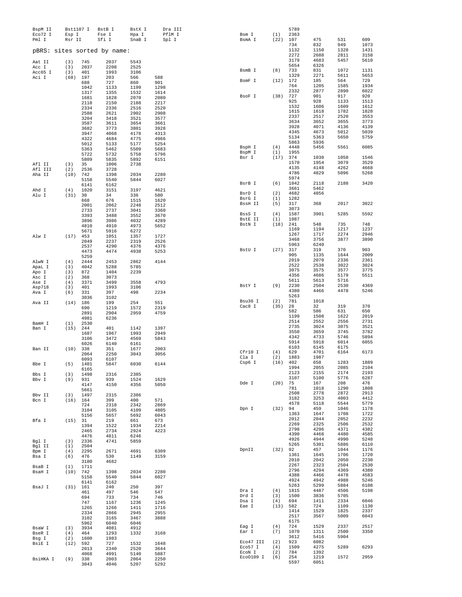| BspM II<br>Eco72 I<br>Pml I |             | Bst1107 I<br>Esp I<br>Rsr II | BstB I<br>Fse I<br>Sfi I    | BstX I<br>Hpa I<br>SnaB I | Dra III<br>PflM I<br>Spl I | Bsm I<br>BsmA I     | (1)<br>(22) | 5789<br>2363<br>107 | 475                 | 531                                                                                                                                                                                                                                                                                                                                                                                                                                                                                                                                                                                   | 609                  |
|-----------------------------|-------------|------------------------------|-----------------------------|---------------------------|----------------------------|---------------------|-------------|---------------------|---------------------|---------------------------------------------------------------------------------------------------------------------------------------------------------------------------------------------------------------------------------------------------------------------------------------------------------------------------------------------------------------------------------------------------------------------------------------------------------------------------------------------------------------------------------------------------------------------------------------|----------------------|
|                             |             |                              | pBRS: sites sorted by name: |                           |                            |                     |             | 734<br>1132<br>2272 | 832<br>1150<br>2688 | 1328                                                                                                                                                                                                                                                                                                                                                                                                                                                                                                                                                                                  | 1073<br>1431<br>3158 |
| Aat II                      | (3)         | 745                          | 2037                        | 5543                      |                            |                     |             | 3179                | 4683                | 5457                                                                                                                                                                                                                                                                                                                                                                                                                                                                                                                                                                                  | 5610                 |
| Acc I                       | (3)         | 2037                         | 2208                        | 2525                      |                            |                     |             | 5654                | 6326                |                                                                                                                                                                                                                                                                                                                                                                                                                                                                                                                                                                                       |                      |
| Acc65 I                     | (3)         | 401                          | 1993                        | 3106                      |                            | BsmB I              | (8)         | 733<br>1329         | 831<br>2271         |                                                                                                                                                                                                                                                                                                                                                                                                                                                                                                                                                                                       | 1131<br>5653         |
| Aci I                       | (68)        | 197<br>688                   | 203<br>727                  | 566<br>860                | 588<br>901                 | BsmF I              | (12)        | 172                 | 185                 | 564                                                                                                                                                                                                                                                                                                                                                                                                                                                                                                                                                                                   | 729                  |
|                             |             | 1042                         | 1133                        | 1199                      | 1298                       |                     |             | 764                 | 1205                | 1585                                                                                                                                                                                                                                                                                                                                                                                                                                                                                                                                                                                  | 1934                 |
|                             |             | 1317                         | 1355                        | 1532                      | 1614                       |                     |             | 2332                | 2877                |                                                                                                                                                                                                                                                                                                                                                                                                                                                                                                                                                                                       | 6022                 |
|                             |             | 1681                         | 1828                        | 2070                      | 2080                       | BsoF I              | (38)        | 727<br>925          | 901<br>928          |                                                                                                                                                                                                                                                                                                                                                                                                                                                                                                                                                                                       | 920<br>1513          |
|                             |             | 2118<br>2334                 | 2150<br>2336                | 2188<br>2516              | 2217<br>2520               |                     |             | 1532                | 1606                | 1609                                                                                                                                                                                                                                                                                                                                                                                                                                                                                                                                                                                  | 1612                 |
|                             |             | 2588                         | 2621                        | 2902                      | 2908                       |                     |             | 1615                | 1618                | 1782                                                                                                                                                                                                                                                                                                                                                                                                                                                                                                                                                                                  | 1828                 |
|                             |             | 3204                         | 3418                        | 3521                      | 3577                       |                     |             | 2337<br>3634        | 2517<br>3652        |                                                                                                                                                                                                                                                                                                                                                                                                                                                                                                                                                                                       | 3553<br>3773         |
|                             |             | 3587<br>3682                 | 3611<br>3773                | 3654<br>3801              | 3661<br>3928               |                     |             | 3928                | 4071                | 4136                                                                                                                                                                                                                                                                                                                                                                                                                                                                                                                                                                                  | 4139                 |
|                             |             | 3947                         | 4068                        | 4178                      | 4313                       |                     |             | 4345                | 4673                | 5012                                                                                                                                                                                                                                                                                                                                                                                                                                                                                                                                                                                  | 5039                 |
|                             |             | 4322                         | 4684                        | 4775                      | 4966                       |                     |             | 5134                | 5363<br>5936        |                                                                                                                                                                                                                                                                                                                                                                                                                                                                                                                                                                                       | 5759                 |
|                             |             | 5012                         | 5133                        | 5177                      | 5254                       | BspH I              | (4)         | 5863<br>4448        | 5456                |                                                                                                                                                                                                                                                                                                                                                                                                                                                                                                                                                                                       | 6085                 |
|                             |             | 5363<br>5722                 | 5462<br>5732                | 5509<br>5758              | 5683<br>5796               | BspM I              | (1)         | 1955                |                     |                                                                                                                                                                                                                                                                                                                                                                                                                                                                                                                                                                                       |                      |
|                             |             | 5809                         | 5835                        | 5892                      | 6151                       | Bsr I               | (17)        | 374                 | 1030                | 1058                                                                                                                                                                                                                                                                                                                                                                                                                                                                                                                                                                                  | 1546                 |
| Afl II                      | (3)         | 35                           | 1006                        | 2738                      |                            |                     |             | 1570<br>4135        | 1954<br>4148        |                                                                                                                                                                                                                                                                                                                                                                                                                                                                                                                                                                                       | 3529<br>4668         |
| Afl III<br>Aha II           | (2)<br>(10) | 2536<br>742                  | 3728<br>1398                | 2034                      | 2280                       |                     |             | 4786                | 4829                | 5096                                                                                                                                                                                                                                                                                                                                                                                                                                                                                                                                                                                  | 5268                 |
|                             |             | 5158                         | 5540                        | 5844                      | 6027                       |                     |             | 5974                |                     |                                                                                                                                                                                                                                                                                                                                                                                                                                                                                                                                                                                       |                      |
|                             |             | 6141                         | 6162                        |                           |                            | BsrB I              | (6)         | 1042                | 2118                |                                                                                                                                                                                                                                                                                                                                                                                                                                                                                                                                                                                       | 3420                 |
| Ahd I                       | (4)         | 1020                         | 3151                        | 3197                      | 4621                       | BsrD I              | (2)         | 3661<br>4682        | 5462<br>4856        |                                                                                                                                                                                                                                                                                                                                                                                                                                                                                                                                                                                       |                      |
| Alu I                       | (31)        | 30<br>668                    | 34<br>676                   | 336<br>1515               | 580<br>1620                | BsrG I              | (1)         | 1282                |                     |                                                                                                                                                                                                                                                                                                                                                                                                                                                                                                                                                                                       |                      |
|                             |             | 2001                         | 2062                        | 2248                      | 2512                       | BssH II             | (5)         | 317                 | 368                 | 2017                                                                                                                                                                                                                                                                                                                                                                                                                                                                                                                                                                                  | 3022                 |
|                             |             | 2733                         | 2737                        | 3041                      | 3360                       | BssS I              | (4)         | 3073<br>1587        | 3901                |                                                                                                                                                                                                                                                                                                                                                                                                                                                                                                                                                                                       | 5592                 |
|                             |             | 3393<br>3896                 | 3488<br>3986                | 3552<br>4032              | 3670<br>4289               | BstE II             | (1)         | 1087                |                     | 949<br>2811<br>1072<br>5611<br>2890<br>917<br>1133<br>2520<br>3655<br>5650<br>5561<br>3079<br>4262<br>2188<br>5285<br>735<br>1217<br>2274<br>3877<br>370<br>1644<br>2336<br>3022<br>3577<br>5179<br>5716<br>2530<br>4478<br>319<br>631<br>1622<br>2556<br>3075<br>3745<br>5746<br>6014<br>6175<br>6164<br>1283<br>2085<br>2174<br>5776<br>208<br>1290<br>2872<br>4003<br>5544<br>1046<br>1708<br>2052<br>2506<br>4371<br>4480<br>4990<br>5886<br>1044<br>1706<br>2050<br>2504<br>4369<br>4478<br>4988<br>5884<br>4506<br>5705<br>2334<br>1109<br>1825<br>5009<br>2337<br>2500<br>5904 |                      |
|                             |             | 4810                         | 4910                        | 4973                      | 5652                       | BstN I              | (18)        | 241                 | 548                 |                                                                                                                                                                                                                                                                                                                                                                                                                                                                                                                                                                                       | 748                  |
|                             |             | 5671                         | 5916                        | 6272                      |                            |                     |             | 1169                | 1194                |                                                                                                                                                                                                                                                                                                                                                                                                                                                                                                                                                                                       | 1237                 |
| Alw I                       | (17)        | 453                          | 1051                        | 1357                      | 1727                       |                     |             | 1267<br>3468        | 1717<br>3756        |                                                                                                                                                                                                                                                                                                                                                                                                                                                                                                                                                                                       | 2946<br>3890         |
|                             |             | 2049<br>2537                 | 2237<br>4290                | 2319<br>4376              | 2526<br>4376               |                     |             | 5963                | 6240                |                                                                                                                                                                                                                                                                                                                                                                                                                                                                                                                                                                                       |                      |
|                             |             | 4473                         | 4474                        | 4938                      | 5253                       | BstU I              | (27)        | 317                 | 319                 |                                                                                                                                                                                                                                                                                                                                                                                                                                                                                                                                                                                       | 903                  |
|                             |             | 5259                         |                             |                           |                            |                     |             | 905<br>2019         | 1135<br>2070        |                                                                                                                                                                                                                                                                                                                                                                                                                                                                                                                                                                                       | 2009<br>2361         |
| AlwN I                      | (4)         | 2444                         | 2453<br>5288                | 2862<br>5785              | 4144                       |                     |             | 2522                | 2538                |                                                                                                                                                                                                                                                                                                                                                                                                                                                                                                                                                                                       | 3024                 |
| ApaL I<br>Apo I             | (3)<br>(3)  | 4042<br>872                  | 1404                        | 2239                      |                            |                     |             | 3075                | 3575                |                                                                                                                                                                                                                                                                                                                                                                                                                                                                                                                                                                                       | 3775                 |
| Asc I                       | (2)         | 368                          | 3073                        |                           |                            |                     |             | 4356                | 4686                |                                                                                                                                                                                                                                                                                                                                                                                                                                                                                                                                                                                       | 5511                 |
| Ase I                       | (4)         | 3371                         | 3499                        | 3558                      | 4793                       | BstY I              | (9)         | 5611<br>2230        | 5613<br>2504        |                                                                                                                                                                                                                                                                                                                                                                                                                                                                                                                                                                                       | 4369                 |
| Asp718<br>Ava I             | (3)<br>(6)  | 401<br>331                   | 1993<br>397                 | 3106<br>498               | 2234                       |                     |             | 4380                | 4466                |                                                                                                                                                                                                                                                                                                                                                                                                                                                                                                                                                                                       | 5246                 |
|                             |             | 3036                         | 3102                        |                           |                            |                     |             | 5263                |                     |                                                                                                                                                                                                                                                                                                                                                                                                                                                                                                                                                                                       |                      |
| Ava II                      | (14)        | 186                          | 199                         | 254                       | 551                        | Bsu36 I<br>Cac8 I   | (2)<br>(35) | 781<br>28           | 1018<br>32          |                                                                                                                                                                                                                                                                                                                                                                                                                                                                                                                                                                                       | 370                  |
|                             |             | 690                          | 1219                        | 1572                      | 2319                       |                     |             | 582                 | 586                 |                                                                                                                                                                                                                                                                                                                                                                                                                                                                                                                                                                                       | 650                  |
|                             |             | 2891<br>4981                 | 2904<br>6236                | 2959                      | 4759                       |                     |             | 1199                | 1508                |                                                                                                                                                                                                                                                                                                                                                                                                                                                                                                                                                                                       | 2019                 |
| BamH I                      | (1)         | 2530                         |                             |                           |                            |                     |             | 2514                | 2552                |                                                                                                                                                                                                                                                                                                                                                                                                                                                                                                                                                                                       | 2731                 |
| Ban I                       | (15)        | 244                          | 401                         | 1142                      | 1397                       |                     |             | 2735<br>3550        | 3024<br>3659        |                                                                                                                                                                                                                                                                                                                                                                                                                                                                                                                                                                                       | 3521<br>3782         |
|                             |             | 1687<br>3106                 | 1967<br>3472                | 1993<br>4569              | 2949<br>5843               |                     |             | 4342                | 4733                |                                                                                                                                                                                                                                                                                                                                                                                                                                                                                                                                                                                       | 5894                 |
|                             |             | 6026                         | 6140                        | 6161                      |                            |                     |             | 5914                | 5918                |                                                                                                                                                                                                                                                                                                                                                                                                                                                                                                                                                                                       | 6055                 |
| Ban II                      | (10)        | 338                          | 351                         | 1677                      | 2003                       | Cfr10 I             | (4)         | 6103<br>629         | 6145<br>4701        |                                                                                                                                                                                                                                                                                                                                                                                                                                                                                                                                                                                       | 6173                 |
|                             |             | 2064<br>6093                 | 2250<br>6107                | 3043                      | 3056                       | Cla I               | (2)         | 1883                | 1987                |                                                                                                                                                                                                                                                                                                                                                                                                                                                                                                                                                                                       |                      |
| Bbe I                       | (5)         | 1401                         | 5847                        | 6030                      | 6144                       | Csp6 I              | (16)        | 402                 | 658                 |                                                                                                                                                                                                                                                                                                                                                                                                                                                                                                                                                                                       | 1889                 |
|                             |             | 6165                         |                             |                           |                            |                     |             | 1994                | 2055                |                                                                                                                                                                                                                                                                                                                                                                                                                                                                                                                                                                                       | 2104                 |
| Bbs I                       | (3)         | 1498                         | 2316                        | 2385                      |                            |                     |             | 2123<br>3107        | 2155<br>5100        |                                                                                                                                                                                                                                                                                                                                                                                                                                                                                                                                                                                       | 2193<br>6287         |
| Bbv I                       | (9)         | 931<br>4147                  | 939<br>4150                 | 1524<br>4356              | 1629<br>5050               | Dde I               | (20)        | 75                  | 167                 |                                                                                                                                                                                                                                                                                                                                                                                                                                                                                                                                                                                       | 476                  |
|                             |             | 5661                         |                             |                           |                            |                     |             | 781                 | 1018                |                                                                                                                                                                                                                                                                                                                                                                                                                                                                                                                                                                                       | 1808                 |
| Bbv II                      | (3)         | 1497                         | 2315                        | 2386                      |                            |                     |             | 2508<br>3182        | 2778<br>3253        |                                                                                                                                                                                                                                                                                                                                                                                                                                                                                                                                                                                       | 2913<br>4412         |
| Bcn I                       |             | $(16)$ 164<br>724            | 399<br>2318                 | 400<br>2342               | 571<br>2869                |                     |             | 4578                | 5118                |                                                                                                                                                                                                                                                                                                                                                                                                                                                                                                                                                                                       | 5779                 |
|                             |             | 3104                         | 3105                        | 4109                      | 4805                       | Dpn I               | $(32)$ 94   |                     | 459                 |                                                                                                                                                                                                                                                                                                                                                                                                                                                                                                                                                                                       | 1178                 |
|                             |             | 5156                         | 5657                        | 5692                      | 6043                       |                     |             | 1363<br>2012        | 1647<br>2044        |                                                                                                                                                                                                                                                                                                                                                                                                                                                                                                                                                                                       | 1722<br>2232         |
| Bfa I                       | (15)        | - 31<br>1394                 | 219<br>1522                 | 661<br>1934               | 673<br>2214                |                     |             | 2269                | 2325                |                                                                                                                                                                                                                                                                                                                                                                                                                                                                                                                                                                                       | 2532                 |
|                             |             | 2465                         | 2734                        | 2924                      | 4223                       |                     |             | 2798                | 4296                |                                                                                                                                                                                                                                                                                                                                                                                                                                                                                                                                                                                       | 4382                 |
|                             |             | 4476                         | 4811                        | 6246                      |                            |                     |             | 4390                | 4468                |                                                                                                                                                                                                                                                                                                                                                                                                                                                                                                                                                                                       | 4585                 |
| Bql I                       | (3)         | 2336                         | 4741                        | 5859                      |                            |                     |             | 4926<br>5265        | 4944<br>5301        |                                                                                                                                                                                                                                                                                                                                                                                                                                                                                                                                                                                       | 5248<br>6110         |
| Bgl II<br>Bpm I             | (1)<br>(4)  | 2504<br>2295                 | 2671                        | 4691                      | 6309                       | DpnII               | $(32)$ 92   |                     | 457                 |                                                                                                                                                                                                                                                                                                                                                                                                                                                                                                                                                                                       | 1176                 |
| Bsa I                       | (6)         | 476                          | 530                         | 1149                      | 3159                       |                     |             | 1361                | 1645                |                                                                                                                                                                                                                                                                                                                                                                                                                                                                                                                                                                                       | 1720                 |
|                             |             | 3180                         | 4682                        |                           |                            |                     |             | 2010<br>2267        | 2042<br>2323        |                                                                                                                                                                                                                                                                                                                                                                                                                                                                                                                                                                                       | 2230<br>2530         |
| BsaB I                      | (1)         | 1711                         |                             |                           |                            |                     |             | 2796                | 4294                |                                                                                                                                                                                                                                                                                                                                                                                                                                                                                                                                                                                       | 4380                 |
| BsaH I                      | (10)        | 742<br>5158                  | 1398<br>5540                | 2034<br>5844              | 2280<br>6027               |                     |             | 4388                | 4466                |                                                                                                                                                                                                                                                                                                                                                                                                                                                                                                                                                                                       | 4583                 |
|                             |             | 6141                         | 6162                        |                           |                            |                     |             | 4924                | 4942                |                                                                                                                                                                                                                                                                                                                                                                                                                                                                                                                                                                                       | 5246                 |
| BsaJ I                      | (31)        | 161                          | 240                         | 250                       | 397                        | Dra I               | (4)         | 5263<br>1815        | 5299<br>4487        |                                                                                                                                                                                                                                                                                                                                                                                                                                                                                                                                                                                       | 6108<br>5198         |
|                             |             | 461<br>694                   | 497<br>733                  | 546<br>734                | 547<br>746                 | Drd I               | (3)         | 1500                | 3836                |                                                                                                                                                                                                                                                                                                                                                                                                                                                                                                                                                                                       |                      |
|                             |             | 747                          | 1167                        | 1236                      | 1245                       | Dsa I               | (4)         | 694                 | 1411                |                                                                                                                                                                                                                                                                                                                                                                                                                                                                                                                                                                                       | 6046                 |
|                             |             | 1265                         | 1266                        | 1411                      | 1716                       | Eae I               | (13)        | 582                 | 724                 |                                                                                                                                                                                                                                                                                                                                                                                                                                                                                                                                                                                       | 1130                 |
|                             |             | 2334                         | 2866                        | 2945                      | 2955                       |                     |             | 1414<br>2517        | 1529<br>3567        |                                                                                                                                                                                                                                                                                                                                                                                                                                                                                                                                                                                       | 2337<br>6043         |
|                             |             | 3102<br>5962                 | 3165<br>6040                | 3467<br>6046              | 3888                       |                     |             | 6175                |                     |                                                                                                                                                                                                                                                                                                                                                                                                                                                                                                                                                                                       |                      |
| BsaW I                      | (3)         | 3934                         | 4081                        | 4912                      |                            | Eag I               | (4)         | 724                 | 1529                |                                                                                                                                                                                                                                                                                                                                                                                                                                                                                                                                                                                       | 2517                 |
| BseR I                      | (4)         | 464                          | 1293                        | 1332                      | 3168                       | Ear I               | (7)         | 1070<br>3612        | 1311<br>5416        |                                                                                                                                                                                                                                                                                                                                                                                                                                                                                                                                                                                       | 3350                 |
| Bsg I<br>BsiE I             | (2)<br>(12) | 1600<br>592                  | 1983<br>727                 | 1532                      | 1648                       | Eco47 III           | (2)         | 923                 | 6082                |                                                                                                                                                                                                                                                                                                                                                                                                                                                                                                                                                                                       |                      |
|                             |             | 2013                         | 2340                        | 2520                      | 3644                       | Eco57 I             | (4)         | 1509                | 4275                | 5289                                                                                                                                                                                                                                                                                                                                                                                                                                                                                                                                                                                  | 6293                 |
|                             |             | 4068                         | 4991                        | 5140                      | 5887                       | ECON I<br>Eco0109 I | (2)<br>(6)  | 784<br>254          | 1392<br>1219        | 1572                                                                                                                                                                                                                                                                                                                                                                                                                                                                                                                                                                                  | 2959                 |
| BsiHKA I                    | (9)         | 338<br>3043                  | 2003<br>4046                | 2064<br>5207              | 2250<br>5292               |                     |             | 5597                | 6051                |                                                                                                                                                                                                                                                                                                                                                                                                                                                                                                                                                                                       |                      |
|                             |             |                              |                             |                           |                            |                     |             |                     |                     |                                                                                                                                                                                                                                                                                                                                                                                                                                                                                                                                                                                       |                      |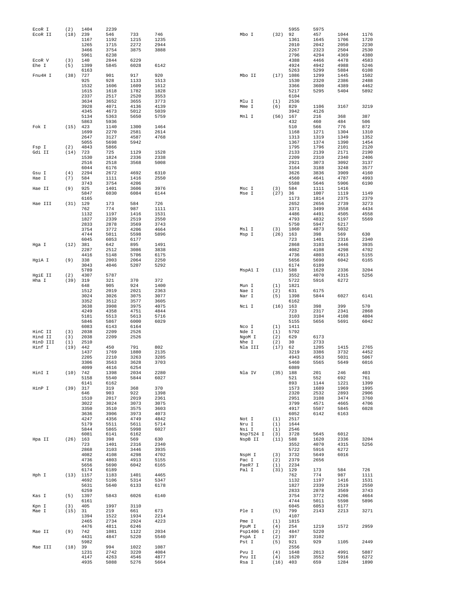| ECOR I   | (2)  | 1404         | 2239         |              |              |                 |                   | 5955 | 5975        |              |              |
|----------|------|--------------|--------------|--------------|--------------|-----------------|-------------------|------|-------------|--------------|--------------|
| ECOR II  | (18) | 239          | 546          | 733          | 746          | Mbo I           | (32)              | 92   | 457         | 1044         | 1176         |
|          |      | 1167         | 1192         | 1215         | 1235         |                 |                   | 1361 | 1645        | 1706         | 1720         |
|          |      | 1265         | 1715         | 2272         | 2944         |                 |                   | 2010 | 2042        | 2050         | 2230         |
|          |      | 3466         | 3754         | 3875         | 3888         |                 |                   | 2267 | 2323        | 2504         | 2530         |
|          |      | 5961         | 6238         |              |              |                 |                   | 2796 | 4294        | 4369         | 4380         |
|          |      |              |              |              |              |                 |                   |      |             |              |              |
| ECOR V   | (3)  | 140          | 2844         | 6229         |              |                 |                   | 4388 | 4466        | 4478         | 4583         |
| Ehe I    | (5)  | 1399         | 5845         | 6028         | 6142         |                 |                   | 4924 | 4942        | 4988         | 5246         |
|          |      | 6163         |              |              |              |                 |                   | 5263 | 5299        | 5884         | 6108         |
| Fnu4H I  | (38) | 727          | 901          | 917          | 920          | Mbo II          | (17)              | 1086 | 1299        | 1445         | 1502         |
|          |      | 925          | 928          | 1133         | 1513         |                 |                   | 1530 | 2320        | 2386         | 2488         |
|          |      | 1532         | 1606         | 1609         | 1612         |                 |                   | 3366 | 3600        | 4389         | 4462         |
|          |      | 1615         | 1618         | 1782         | 1828         |                 |                   | 5217 | 5295        | 5404         | 5892         |
|          |      | 2337         | 2517         | 2520         | 3553         |                 |                   | 6104 |             |              |              |
|          |      | 3634         | 3652         | 3655         | 3773         | Mlu I           | (1)               | 2536 |             |              |              |
|          |      | 3928         | 4071         | 4136         | 4139         | Mme I           | (6)               | 829  | 1106        | 3167         | 3219         |
|          |      |              | 4673         |              | 5039         |                 |                   | 3942 | 4126        |              |              |
|          |      | 4345         |              | 5012         |              |                 |                   |      |             |              |              |
|          |      | 5134         | 5363         | 5650         | 5759         | Mnl I           | (56)              | 167  | 216         | 368          | 387          |
|          |      | 5863         | 5936         |              |              |                 |                   | 432  | 460         | 484          | 506          |
| Fok I    | (15) | 423          | 1140         | 1300         | 1464         |                 |                   | 510  | 566         | 776          | 872          |
|          |      | 1699         | 2270         | 2581         | 2614         |                 |                   | 1168 | 1271        | 1304         | 1310         |
|          |      | 2647         | 3127         | 4587         | 4768         |                 |                   | 1313 | 1319        | 1349         | 1352         |
|          |      | 5055         | 5698         | 5942         |              |                 |                   | 1367 | 1374        | 1390         | 1454         |
| Fsp I    | (2)  | 4843         | 5866         |              |              |                 |                   | 1795 | 1796        | 2101         | 2120         |
| Gdi II   | (14) | 723          | 725          | 1129         | 1528         |                 |                   | 2133 | 2139        | 2171         | 2190         |
|          |      |              | 1824         | 2336         | 2338         |                 |                   | 2209 | 2310        | 2340         | 2406         |
|          |      | 1530         |              |              |              |                 |                   |      |             |              |              |
|          |      | 2516         | 2518         | 3568         | 5008         |                 |                   | 2921 | 3073        | 3092         | 3137         |
|          |      | 6044         | 6176         |              |              |                 |                   | 3164 | 3188        | 3248         | 3577         |
| Gsu I    | (4)  | 2294         | 2672         | 4692         | 6310         |                 |                   | 3626 | 3836        | 3909         | 4160         |
| Hae I    | (7)  | 584          | 1111         | 1416         | 2550         |                 |                   | 4560 | 4641        | 4787         | 4993         |
|          |      | 3743         | 3754         | 4206         |              |                 |                   | 5588 | 5646        | 5906         | 6190         |
| Hae II   | (9)  | 925          | 1401         | 3606         | 3976         | Msc I           | (3)               | 584  | 1111        | 1416         |              |
|          |      | 5847         | 6030         | 6084         | 6144         | Mse I           | (27)              | 36   | 1007        | 1119         | 1149         |
|          |      | 6165         |              |              |              |                 |                   | 1173 | 1814        | 2375         | 2379         |
| Hae III  | (31) | 129          | 173          | 584          | 726          |                 |                   | 2652 | 2656        | 2739         | 3273         |
|          |      |              |              |              |              |                 |                   |      |             |              |              |
|          |      | 762          | 774          | 987          | 1111         |                 |                   | 3371 | 3499        | 3558         | 4434         |
|          |      | 1132         | 1197         | 1416         | 1531         |                 |                   | 4486 | 4491        | 4505         | 4558         |
|          |      | 1827         | 2339         | 2519         | 2550         |                 |                   | 4793 | 4832        | 5197         | 5569         |
|          |      | 2833         | 2878         | 3569         | 3743         |                 |                   | 5750 | 5947        | 6217         |              |
|          |      | 3754         | 3772         | 4206         | 4664         | Msl I           | (3)               | 1860 | 4873        | 5032         |              |
|          |      | 4744         | 5011         | 5598         | 5896         | Msp I           | (26)              | 163  | 398         | 569          | 630          |
|          |      | 6045         | 6053         | 6177         |              |                 |                   | 723  | 1401        | 2316         | 2340         |
| Hga I    | (12) | 381          | 642          | 895          | 1491         |                 |                   | 2868 | 3103        | 3446         | 3935         |
|          |      | 2287         | 2512         | 3086         | 3838         |                 |                   | 4082 | 4108        | 4298         | 4702         |
|          |      |              |              |              |              |                 |                   |      |             |              |              |
|          |      | 4416         | 5148         | 5706         | 6175         |                 |                   | 4736 | 4803        | 4913         | 5155         |
| HgiA I   | (9)  | 338          | 2003         | 2064         | 2250         |                 |                   | 5656 | 5690        | 6042         | 6165         |
|          |      | 3043         | 4046         | 5207         | 5292         |                 |                   | 6174 | 6189        |              |              |
|          |      | 5789         |              |              |              | MspA1 I         | (11)              | 588  | 1620        | 2336         | 3204         |
| HgiE II  | (2)  | 4307         | 5787         |              |              |                 |                   | 3552 | 4070        | 4315         | 5256         |
| Hha I    | (39) | 319          | 321          | 370          | 372          |                 |                   | 5722 | 5916        | 6272         |              |
|          |      | 648          | 905          | 924          | 1400         | Mun I           | (1)               | 1821 |             |              |              |
|          |      | 1512         | 2019         | 2021         | 2363         | Nae I           | (2)               | 631  | 6175        |              |              |
|          |      | 3024         | 3026         | 3075         | 3077         | Nar I           | (5)               | 1398 | 5844        | 6027         | 6141         |
|          |      | 3352         | 3512         | 3577         | 3605         |                 |                   | 6162 |             |              |              |
|          |      |              | 3908         |              |              |                 | (16)              |      |             | 399          | 570          |
|          |      | 3638         |              | 3975         | 4075         | Nci I           |                   | 163  | 398         |              |              |
|          |      | 4249         | 4358         | 4751         | 4844         |                 |                   | 723  | 2317        | 2341         | 2868         |
|          |      | 5181         | 5513         | 5613         | 5716         |                 |                   | 3103 | 3104        | 4108         | 4804         |
|          |      | 5846         | 5867         | 6000         | 6029         |                 |                   | 5155 | 5656        | 5691         | 6042         |
|          |      | 6083         | 6143         | 6164         |              | Nco I           | (1)               | 1411 |             |              |              |
| HinC II  | (3)  | 2038         | 2209         | 2526         |              | Nde I           | (1)               | 5792 |             |              |              |
| Hind II  | (3)  | 2038         | 2209         | 2526         |              | NgoM I          | (2)               | 629  | 6173        |              |              |
| HinD III | (1)  | 2510         |              |              |              | Nhe I           | (2)               | 30   | 2733        |              |              |
| Hinf I   | (19) | 442          | 450          | 791          | 802          | Nla III         | (17)              | 62   | 1205        | 1415         | 2765         |
|          |      | 1437         | 1769         | 1880         | 2135         |                 |                   | 3219 |             | 3732         | 4452         |
|          |      |              |              |              |              |                 |                   |      | 3386        |              |              |
|          |      | 2205         | 2210         | 3263         | 3285         |                 |                   | 4943 | 4953        | 5031         | 5067         |
|          |      | 3306         | 3563         | 3628         | 3703         |                 |                   | 5460 | 5565        | 5649         | 6016         |
|          |      | 4099         | 4616         | 6254         |              |                 |                   | 6089 |             |              |              |
| HinI I   | (10) | 742          | 1398         | 2034         | 2280         | Nla IV          | (35)              | 188  | 201         | 246          | 403          |
|          |      | 5158         | 5540         | 5844         | 6027         |                 |                   | 521  | 552         | 692          | 761          |
|          |      | 6141         | 6162         |              |              |                 |                   | 893  | 1144        | 1221         | 1399         |
| HinP I   | (39) | 317          | 319          | 368          | 370          |                 |                   | 1573 | 1689        | 1969         | 1995         |
|          |      | 646          | 903          | 922          | 1398         |                 |                   | 2320 | 2532        | 2893         | 2906         |
|          |      | 1510         | 2017         | 2019         | 2361         |                 |                   | 2951 |             | 3474         | 3760         |
|          |      |              |              |              |              |                 |                   |      | 3108        |              |              |
|          |      | 3022         | 3024         | 3073         | 3075         |                 |                   | 3799 | 4571        | 4665         | 4706         |
|          |      | 3350         | 3510         | 3575         | 3603         |                 |                   | 4917 | 5507        | 5845         | 6028         |
|          |      | 3636         | 3906         | 3973         | 4073         |                 |                   | 6052 | 6142        | 6163         |              |
|          |      | 4247         | 4356         | 4749         | 4842         | Not I           | (1)               | 2517 |             |              |              |
|          |      | 5179         | 5511         | 5611         | 5714         | Nru I           | (1)               | 1644 |             |              |              |
|          |      | 5844         | 5865         | 5998         | 6027         |                 | (1)               |      |             |              |              |
|          |      |              |              |              |              | Nsi I           |                   | 2546 |             |              |              |
|          |      |              | 6141         | 6162         |              |                 |                   | 3728 |             | 6012         |              |
|          |      | 6081         |              |              |              | Nsp7524 I       | (3)               |      | 5645        |              |              |
| Hpa II   | (26) | 163          | 398          | 569          | 630          | NspB II         | (11)              | 588  | 1620        | 2336         | 3204         |
|          |      | 723          | 1401         | 2316         | 2340         |                 |                   | 3552 | 4070        | 4315         | 5256         |
|          |      | 2868         | 3103         | 3446         | 3935         |                 |                   | 5722 | 5916        | 6272         |              |
|          |      | 4082         | 4108         | 4298         | 4702         | NspH I          | (3)               | 3732 | 5649        | 6016         |              |
|          |      | 4736         | 4803         | 4913         | 5155         | Pac I           | (2)               | 2379 | 2656        |              |              |
|          |      | 5656         | 5690         | 6042         | 6165         | PaeR7 I         | (1)               | 2234 |             |              |              |
|          |      | 6174         | 6189         |              |              | Pal I           | (31)              | 129  | 173         | 584          | 726          |
| Hph I    | (13) | 1157         | 1183         | 1401         | 4465         |                 |                   | 762  | 774         | 987          | 1111         |
|          |      | 4692         | 5106         | 5314         | 5347         |                 |                   | 1132 | 1197        | 1416         | 1531         |
|          |      |              |              |              |              |                 |                   |      |             |              |              |
|          |      | 5631         | 5640         | 6133         | 6178         |                 |                   | 1827 | 2339        | 2519         | 2550         |
|          |      | 6259         |              |              |              |                 |                   | 2833 | 2878        | 3569         | 3743         |
| Kas I    | (5)  | 1397         | 5843         | 6026         | 6140         |                 |                   | 3754 | 3772        | 4206         | 4664         |
|          |      | 6161         |              |              |              |                 |                   | 4744 | 5011        | 5598         | 5896         |
| Kpn I    | (3)  | 405          | 1997         | 3110         |              |                 |                   | 6045 | 6053        | 6177         |              |
| Mae I    | (15) | 31           | 219          | 661          | 673          | Ple I           | (5)               | 799  | 2143        | 2213         | 3271         |
|          |      | 1394         | 1522         | 1934         | 2214         |                 |                   | 4107 |             |              |              |
|          |      | 2465         | 2734         | 2924         | 4223         | Pme I           | (1)               | 1815 |             |              |              |
|          |      | 4476         | 4811         | 6246         |              | PpuM I          | (4)               | 254  | 1219        | 1572         | 2959         |
| Mae II   | (9)  | 742          | 1081         | 1122         | 2034         | Psp1406 I       | (2)               | 4847 | 5220        |              |              |
|          |      | 4431         | 4847         | 5220         | 5540         | PspA I          | (2)               | 397  | 3102        |              |              |
|          |      | 5982         |              |              |              |                 | (5)               |      |             |              | 2449         |
|          |      |              |              |              |              | Pst I           |                   | 921  | 929         | 1105         |              |
| Mae III  | (18) | 39           | 994          | 1022         | 1087         |                 |                   | 2556 |             |              |              |
|          |      | 1231         | 2742         | 3220         | 4084         | Pvu I           | (4)               | 1648 | 2013        | 4991         | 5887         |
|          |      | 4147<br>4935 | 4263<br>5088 | 4546<br>5276 | 4877<br>5664 | Pvu II<br>Rsa I | (4)<br>$(16)$ 403 | 1620 | 3552<br>659 | 5916<br>1284 | 6272<br>1890 |